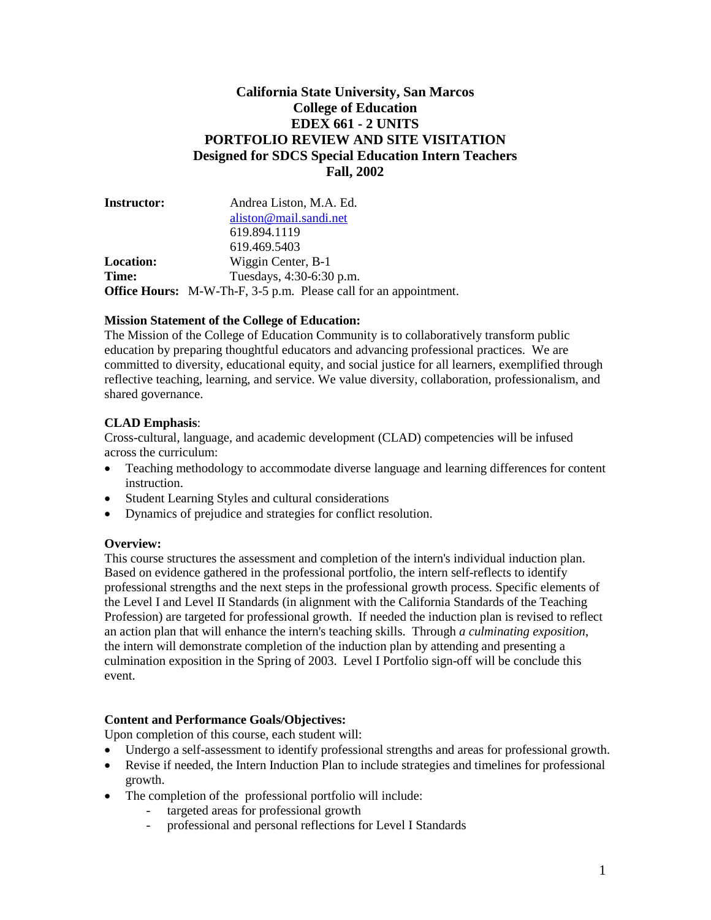# **California State University, San Marcos College of Education EDEX 661 - 2 UNITS PORTFOLIO REVIEW AND SITE VISITATION Designed for SDCS Special Education Intern Teachers Fall, 2002**

| Andrea Liston, M.A. Ed.                                                 |  |  |
|-------------------------------------------------------------------------|--|--|
| aliston@mail.sandi.net                                                  |  |  |
| 619.894.1119                                                            |  |  |
| 619.469.5403                                                            |  |  |
| Wiggin Center, B-1                                                      |  |  |
| Tuesdays, 4:30-6:30 p.m.                                                |  |  |
| <b>Office Hours:</b> M-W-Th-F, 3-5 p.m. Please call for an appointment. |  |  |
|                                                                         |  |  |

# **Mission Statement of the College of Education:**

The Mission of the College of Education Community is to collaboratively transform public education by preparing thoughtful educators and advancing professional practices. We are committed to diversity, educational equity, and social justice for all learners, exemplified through reflective teaching, learning, and service. We value diversity, collaboration, professionalism, and shared governance.

# **CLAD Emphasis**:

Cross-cultural, language, and academic development (CLAD) competencies will be infused across the curriculum:

- Teaching methodology to accommodate diverse language and learning differences for content instruction.
- Student Learning Styles and cultural considerations
- Dynamics of prejudice and strategies for conflict resolution.

# **Overview:**

This course structures the assessment and completion of the intern's individual induction plan. Based on evidence gathered in the professional portfolio, the intern self-reflects to identify professional strengths and the next steps in the professional growth process. Specific elements of the Level I and Level II Standards (in alignment with the California Standards of the Teaching Profession) are targeted for professional growth. If needed the induction plan is revised to reflect an action plan that will enhance the intern's teaching skills. Through *a culminating exposition*, the intern will demonstrate completion of the induction plan by attending and presenting a culmination exposition in the Spring of 2003. Level I Portfolio sign-off will be conclude this event.

# **Content and Performance Goals/Objectives:**

Upon completion of this course, each student will:

- Undergo a self-assessment to identify professional strengths and areas for professional growth.
- Revise if needed, the Intern Induction Plan to include strategies and timelines for professional growth.
- The completion of the professional portfolio will include:
	- targeted areas for professional growth
	- professional and personal reflections for Level I Standards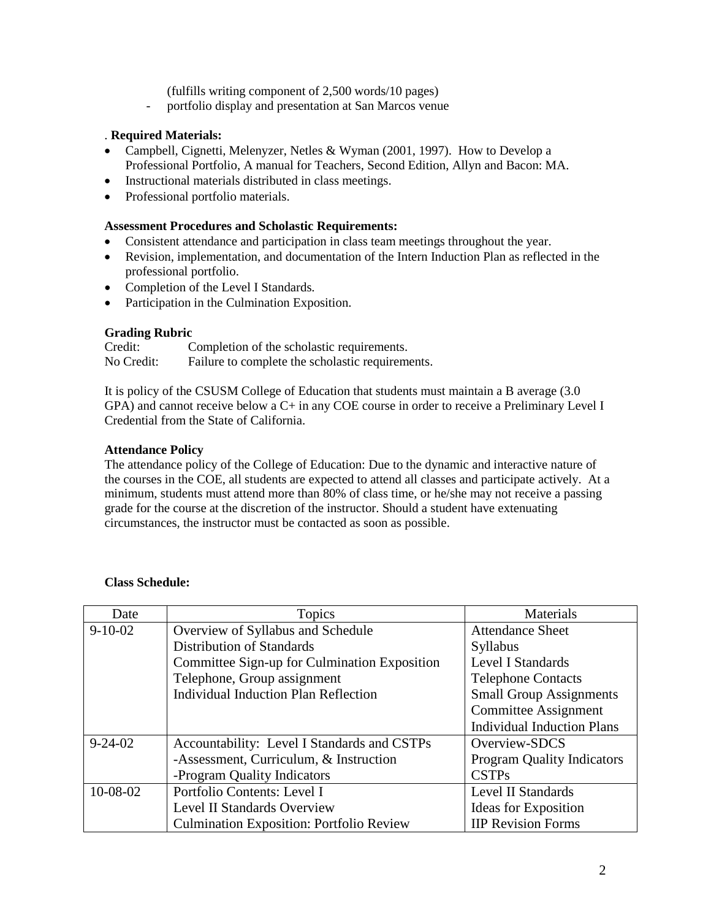(fulfills writing component of 2,500 words/10 pages)

- portfolio display and presentation at San Marcos venue

#### . **Required Materials:**

- Campbell, Cignetti, Melenyzer, Netles & Wyman (2001, 1997). How to Develop a Professional Portfolio, A manual for Teachers, Second Edition, Allyn and Bacon: MA.
- Instructional materials distributed in class meetings.
- Professional portfolio materials.

#### **Assessment Procedures and Scholastic Requirements:**

- Consistent attendance and participation in class team meetings throughout the year.
- Revision, implementation, and documentation of the Intern Induction Plan as reflected in the professional portfolio.
- Completion of the Level I Standards.
- Participation in the Culmination Exposition.

#### **Grading Rubric**

| Credit:    | Completion of the scholastic requirements.       |
|------------|--------------------------------------------------|
| No Credit: | Failure to complete the scholastic requirements. |

It is policy of the CSUSM College of Education that students must maintain a B average (3.0 GPA) and cannot receive below a  $C+$  in any COE course in order to receive a Preliminary Level I Credential from the State of California.

# **Attendance Policy**

The attendance policy of the College of Education: Due to the dynamic and interactive nature of the courses in the COE, all students are expected to attend all classes and participate actively. At a minimum, students must attend more than 80% of class time, or he/she may not receive a passing grade for the course at the discretion of the instructor. Should a student have extenuating circumstances, the instructor must be contacted as soon as possible.

| Date           | Topics                                          | Materials                         |
|----------------|-------------------------------------------------|-----------------------------------|
| $9-10-02$      | Overview of Syllabus and Schedule               | <b>Attendance Sheet</b>           |
|                | <b>Distribution of Standards</b>                | Syllabus                          |
|                | Committee Sign-up for Culmination Exposition    | Level I Standards                 |
|                | Telephone, Group assignment                     | <b>Telephone Contacts</b>         |
|                | Individual Induction Plan Reflection            | <b>Small Group Assignments</b>    |
|                |                                                 | <b>Committee Assignment</b>       |
|                |                                                 | <b>Individual Induction Plans</b> |
| $9 - 24 - 02$  | Accountability: Level I Standards and CSTPs     | Overview-SDCS                     |
|                | -Assessment, Curriculum, & Instruction          | <b>Program Quality Indicators</b> |
|                | -Program Quality Indicators                     | <b>CSTPs</b>                      |
| $10 - 08 - 02$ | Portfolio Contents: Level I                     | Level II Standards                |
|                | Level II Standards Overview                     | Ideas for Exposition              |
|                | <b>Culmination Exposition: Portfolio Review</b> | <b>IIP Revision Forms</b>         |

# **Class Schedule:**